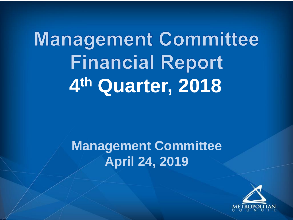**Management Committee Financial Report 4 th Quarter, 2018**

> **Management Committee April 24, 2019**

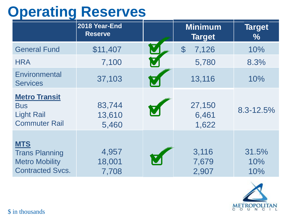## **Operating Reserves**

|                                                                                         | 2018 Year-End<br><b>Reserve</b> |                      | <b>Minimum</b><br><b>Target</b> | <b>Target</b><br>$\%$ |
|-----------------------------------------------------------------------------------------|---------------------------------|----------------------|---------------------------------|-----------------------|
| <b>General Fund</b>                                                                     | \$11,407                        |                      | $\mathcal{S}$<br>7,126          | 10%                   |
| <b>HRA</b>                                                                              | 7,100                           | $\blacktriangledown$ | 5,780                           | 8.3%                  |
| Environmental<br><b>Services</b>                                                        | 37,103                          | V                    | 13,116                          | 10%                   |
| <b>Metro Transit</b><br><b>Bus</b><br><b>Light Rail</b><br><b>Commuter Rail</b>         | 83,744<br>13,610<br>5,460       |                      | 27,150<br>6,461<br>1,622        | 8.3-12.5%             |
| <b>MTS</b><br><b>Trans Planning</b><br><b>Metro Mobility</b><br><b>Contracted Svcs.</b> | 4,957<br>18,001<br>7,708        |                      | 3,116<br>7,679<br>2,907         | 31.5%<br>10%<br>10%   |

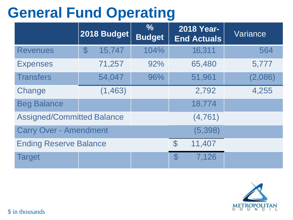## **General Fund Operating**

|                                   | 2018 Budget                    | $\frac{6}{6}$<br><b>Budget</b> | <b>2018 Year-</b><br><b>End Actuals</b> | Variance |
|-----------------------------------|--------------------------------|--------------------------------|-----------------------------------------|----------|
| <b>Revenues</b>                   | 15,747<br>$\mathfrak{F}% _{0}$ | 104%                           | 16,311                                  | 564      |
| <b>Expenses</b>                   | 71,257                         | 92%                            | 65,480                                  | 5,777    |
| <b>Transfers</b>                  | 54,047                         | 96%                            | 51,961                                  | (2,086)  |
| Change                            | (1, 463)                       |                                | 2,792                                   | 4,255    |
| <b>Beg Balance</b>                |                                |                                | 18,774                                  |          |
| <b>Assigned/Committed Balance</b> |                                |                                | (4, 761)                                |          |
| <b>Carry Over - Amendment</b>     |                                |                                | (5, 398)                                |          |
| <b>Ending Reserve Balance</b>     |                                |                                | $\mathcal{C}$<br>11,407                 |          |
| <b>Target</b>                     |                                |                                | $\mathcal{C}$<br>7,126                  |          |

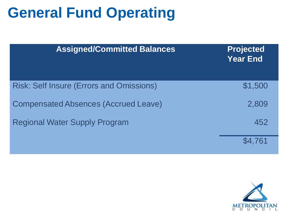#### **General Fund Operating**

| <b>Assigned/Committed Balances</b>              | <b>Projected</b><br><b>Year End</b> |
|-------------------------------------------------|-------------------------------------|
| <b>Risk: Self Insure (Errors and Omissions)</b> | \$1,500                             |
| <b>Compensated Absences (Accrued Leave)</b>     | 2,809                               |
| <b>Regional Water Supply Program</b>            | 452                                 |
|                                                 | \$4.761                             |

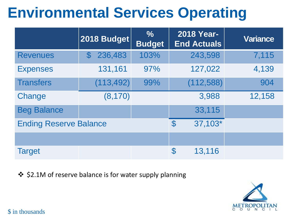# **Environmental Services Operating**

|                               | 2018 Budget          | $\frac{6}{6}$<br><b>Budget</b> | <b>2018 Year-</b><br><b>End Actuals</b> | <b>Variance</b> |
|-------------------------------|----------------------|--------------------------------|-----------------------------------------|-----------------|
| <b>Revenues</b>               | 236,483<br>${\bf 3}$ | 103%                           | 243,598                                 | 7,115           |
| <b>Expenses</b>               | 131,161              | 97%                            | 127,022                                 | 4,139           |
| <b>Transfers</b>              | (113, 492)           | 99%                            | (112, 588)                              | 904             |
| Change                        | (8, 170)             |                                | 3,988                                   | 12,158          |
| <b>Beg Balance</b>            |                      |                                | 33,115                                  |                 |
| <b>Ending Reserve Balance</b> |                      |                                | 37,103*<br>$\mathcal{S}$                |                 |
|                               |                      |                                |                                         |                 |
| <b>Target</b>                 |                      |                                | $\mathfrak{F}$<br>13,116                |                 |

❖ \$2.1M of reserve balance is for water supply planning

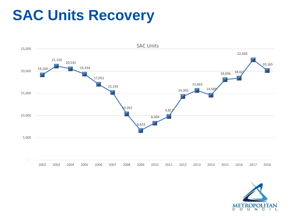#### **SAC Units Recovery**



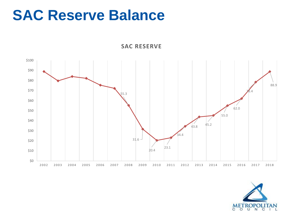#### **SAC Reserve Balance**



**SAC RESERVE**

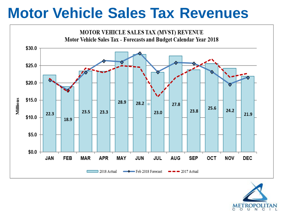#### **Motor Vehicle Sales Tax Revenues**



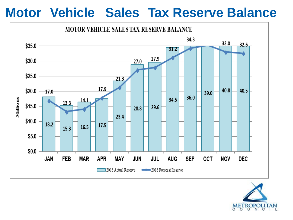#### **Motor Vehicle Sales Tax Reserve Balance**



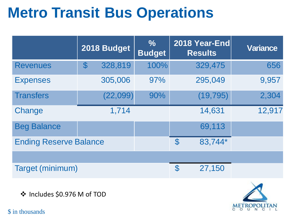## **Metro Transit Bus Operations**

|                               |               | 2018 Budget | $\frac{6}{6}$<br><b>Budget</b> |               | 2018 Year-End<br><b>Results</b> | <b>Variance</b> |
|-------------------------------|---------------|-------------|--------------------------------|---------------|---------------------------------|-----------------|
| <b>Revenues</b>               | $\mathcal{S}$ | 328,819     | 100%                           |               | 329,475                         | 656             |
| <b>Expenses</b>               |               | 305,006     | 97%                            |               | 295,049                         | 9,957           |
| <b>Transfers</b>              |               | (22, 099)   | 90%                            |               | (19, 795)                       | 2,304           |
| Change                        |               | 1,714       |                                |               | 14,631                          | 12,917          |
| <b>Beg Balance</b>            |               |             |                                |               | 69,113                          |                 |
| <b>Ending Reserve Balance</b> |               |             | $\mathcal{C}$                  | 83,744*       |                                 |                 |
|                               |               |             |                                |               |                                 |                 |
| <b>Target (minimum)</b>       |               |             |                                | $\mathcal{S}$ | 27,150                          |                 |

❖ Includes \$0.976 M of TOD

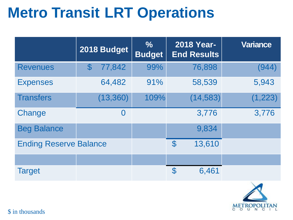## **Metro Transit LRT Operations**

|                               | 2018 Budget  | $\frac{6}{6}$<br><b>Budget</b> | <b>2018 Year-</b><br><b>End Results</b> | <b>Variance</b> |
|-------------------------------|--------------|--------------------------------|-----------------------------------------|-----------------|
| <b>Revenues</b>               | 77,842<br>\$ | 99%                            | 76,898                                  | (944)           |
| <b>Expenses</b>               | 64,482       | 91%                            | 58,539                                  | 5,943           |
| <b>Transfers</b>              | (13, 360)    | 109%                           | (14, 583)                               | (1, 223)        |
| Change                        | $\bf{0}$     |                                | 3,776                                   | 3,776           |
| <b>Beg Balance</b>            |              |                                | 9,834                                   |                 |
| <b>Ending Reserve Balance</b> |              |                                | $\mathcal{S}$<br>13,610                 |                 |
|                               |              |                                |                                         |                 |
| <b>Target</b>                 |              |                                | 6,461<br>$\mathcal{C}$                  |                 |

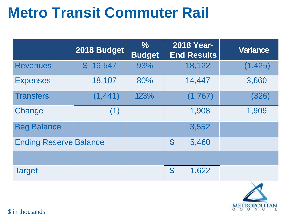### **Metro Transit Commuter Rail**

|                               | 2018 Budget             | $\frac{6}{6}$<br><b>Budget</b> | <b>2018 Year-</b><br><b>End Results</b> | <b>Variance</b> |
|-------------------------------|-------------------------|--------------------------------|-----------------------------------------|-----------------|
| <b>Revenues</b>               | 19,547<br>${\mathbb S}$ | 93%                            | 18,122                                  | (1, 425)        |
| <b>Expenses</b>               | 18,107                  | 80%                            | 14,447                                  | 3,660           |
| <b>Transfers</b>              | (1, 441)                | 123%                           | (1,767)                                 | (326)           |
| Change                        | (1)                     |                                | 1,908                                   | 1,909           |
| <b>Beg Balance</b>            |                         |                                | 3,552                                   |                 |
| <b>Ending Reserve Balance</b> |                         |                                | $\mathcal{C}$<br>5,460                  |                 |
|                               |                         |                                |                                         |                 |
| <b>Target</b>                 |                         |                                | $\mathcal{C}$<br>1,622                  |                 |